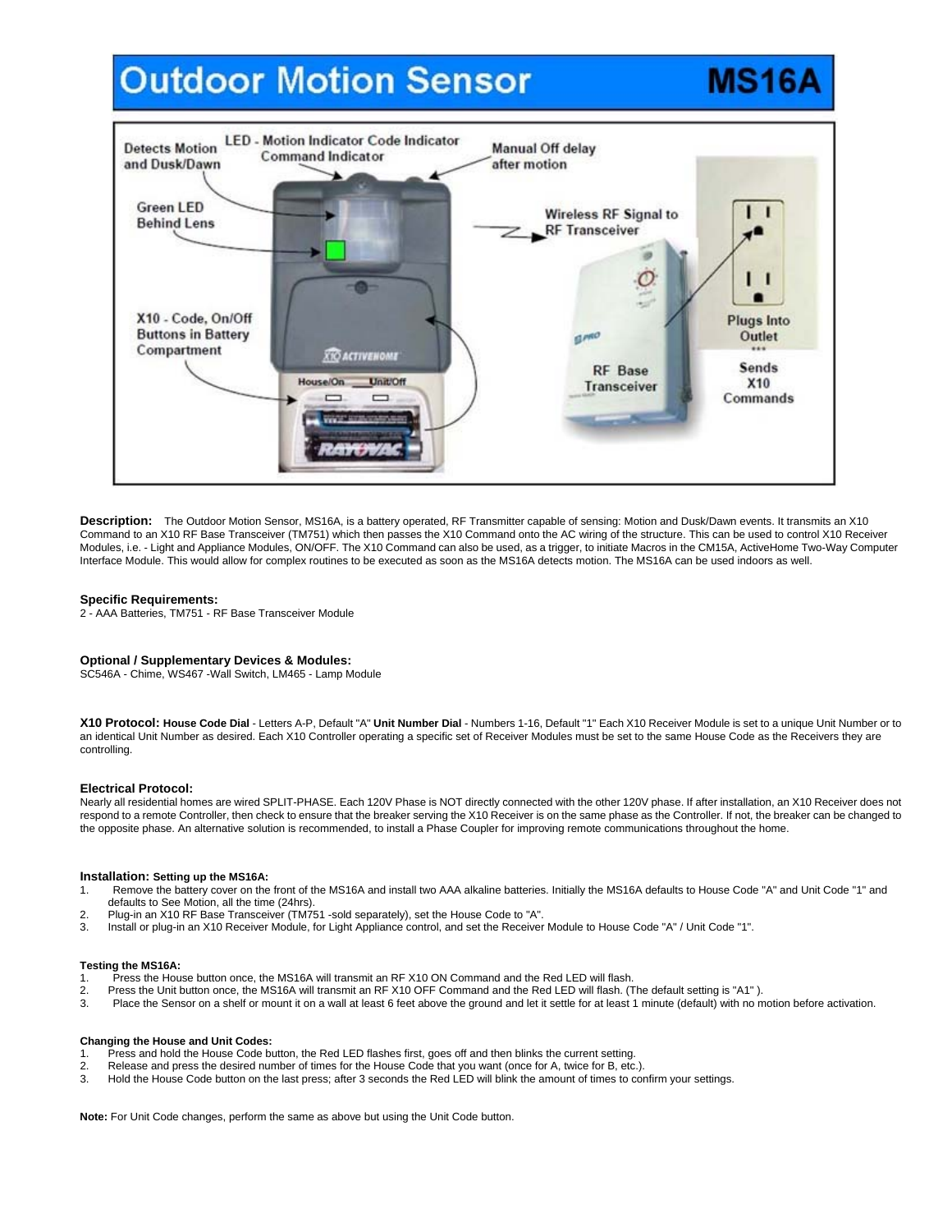# **Outdoor Motion Sensor**

## LED - Motion Indicator Code Indicator **Detects Motion Manual Off delay Command Indicator** and Dusk/Dawn after motion **Green LED Wireless RF Signal to Behind Lens** RF Transceiver X10 - Code, On/Off Plugs Into **Buttons in Battery GLAND** Outlet Compartment **XIO ACTIVENOME** Sends **RF** Base House/On **Unit/Off** X10 **Transceiver**  $\equiv$  $\equiv$ Commands

Description: The Outdoor Motion Sensor, MS16A, is a battery operated, RF Transmitter capable of sensing: Motion and Dusk/Dawn events. It transmits an X10 Command to an X10 RF Base Transceiver (TM751) which then passes the X10 Command onto the AC wiring of the structure. This can be used to control X10 Receiver Modules, i.e. - Light and Appliance Modules, ON/OFF. The X10 Command can also be used, as a trigger, to initiate Macros in the CM15A, ActiveHome Two-Way Computer Interface Module. This would allow for complex routines to be executed as soon as the MS16A detects motion. The MS16A can be used indoors as well.

## **Specific Requirements:**

2 - AAA Batteries, TM751 - RF Base Transceiver Module

# **Optional / Supplementary Devices & Modules:**

SC546A - Chime, WS467 -Wall Switch, LM465 - Lamp Module

**X10 Protocol: House Code Dial** - Letters A-P, Default "A" **Unit Number Dial** - Numbers 1-16, Default "1" Each X10 Receiver Module is set to a unique Unit Number or to an identical Unit Number as desired. Each X10 Controller operating a specific set of Receiver Modules must be set to the same House Code as the Receivers they are controlling.

#### **Electrical Protocol:**

Nearly all residential homes are wired SPLIT-PHASE. Each 120V Phase is NOT directly connected with the other 120V phase. If after installation, an X10 Receiver does not respond to a remote Controller, then check to ensure that the breaker serving the X10 Receiver is on the same phase as the Controller. If not, the breaker can be changed to the opposite phase. An alternative solution is recommended, to install a Phase Coupler for improving remote communications throughout the home.

# **Installation: Setting up the MS16A:**

- 1. Remove the battery cover on the front of the MS16A and install two AAA alkaline batteries. Initially the MS16A defaults to House Code "A" and Unit Code "1" and defaults to See Motion, all the time (24hrs).
- 2. Plug-in an X10 RF Base Transceiver (TM751 -sold separately), set the House Code to "A".
- 3. Install or plug-in an X10 Receiver Module, for Light Appliance control, and set the Receiver Module to House Code "A" / Unit Code "1".

#### **Testing the MS16A:**

- 1. Press the House button once, the MS16A will transmit an RF X10 ON Command and the Red LED will flash.<br>2. Press the Unit button once, the MS16A will transmit an RF X10 OFF Command and the Red LED will flash. (1
- 2. Press the Unit button once, the MS16A will transmit an RF X10 OFF Command and the Red LED will flash. (The default setting is "A1" ).
- Place the Sensor on a shelf or mount it on a wall at least 6 feet above the ground and let it settle for at least 1 minute (default) with no motion before activation.

#### **Changing the House and Unit Codes:**

- 1. Press and hold the House Code button, the Red LED flashes first, goes off and then blinks the current setting.<br>2. Release and press the desired number of times for the House Code that you want (once for A, twice for B,
- 2. Release and press the desired number of times for the House Code that you want (once for A, twice for B, etc.).<br>3. Hold the House Code button on the last press: after 3 seconds the Red LED will blink the amount of times
- 3. Hold the House Code button on the last press; after 3 seconds the Red LED will blink the amount of times to confirm your settings.

**Note:** For Unit Code changes, perform the same as above but using the Unit Code button.

# **MS16A**